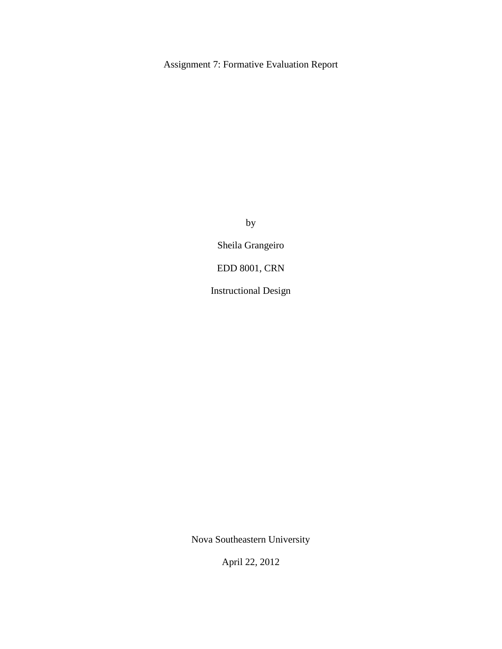# Assignment 7: Formative Evaluation Report

by

Sheila Grangeiro

EDD 8001, CRN

Instructional Design

Nova Southeastern University

April 22, 2012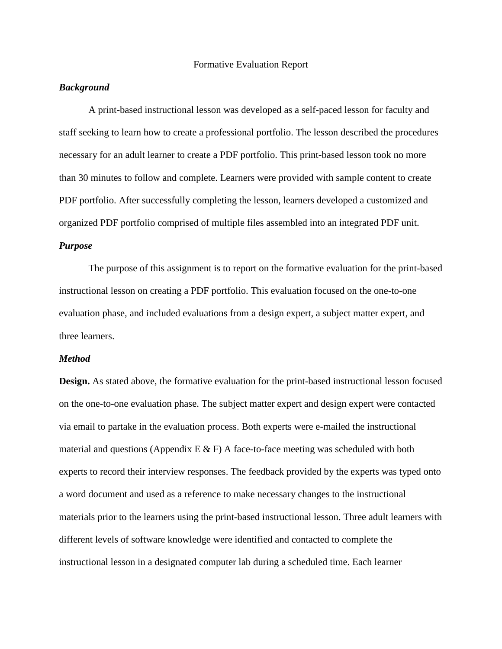#### Formative Evaluation Report

## *Background*

A print-based instructional lesson was developed as a self-paced lesson for faculty and staff seeking to learn how to create a professional portfolio. The lesson described the procedures necessary for an adult learner to create a PDF portfolio. This print-based lesson took no more than 30 minutes to follow and complete. Learners were provided with sample content to create PDF portfolio. After successfully completing the lesson, learners developed a customized and organized PDF portfolio comprised of multiple files assembled into an integrated PDF unit.

## *Purpose*

The purpose of this assignment is to report on the formative evaluation for the print-based instructional lesson on creating a PDF portfolio. This evaluation focused on the one-to-one evaluation phase, and included evaluations from a design expert, a subject matter expert, and three learners.

#### *Method*

**Design.** As stated above, the formative evaluation for the print-based instructional lesson focused on the one-to-one evaluation phase. The subject matter expert and design expert were contacted via email to partake in the evaluation process. Both experts were e-mailed the instructional material and questions (Appendix E  $\&$  F) A face-to-face meeting was scheduled with both experts to record their interview responses. The feedback provided by the experts was typed onto a word document and used as a reference to make necessary changes to the instructional materials prior to the learners using the print-based instructional lesson. Three adult learners with different levels of software knowledge were identified and contacted to complete the instructional lesson in a designated computer lab during a scheduled time. Each learner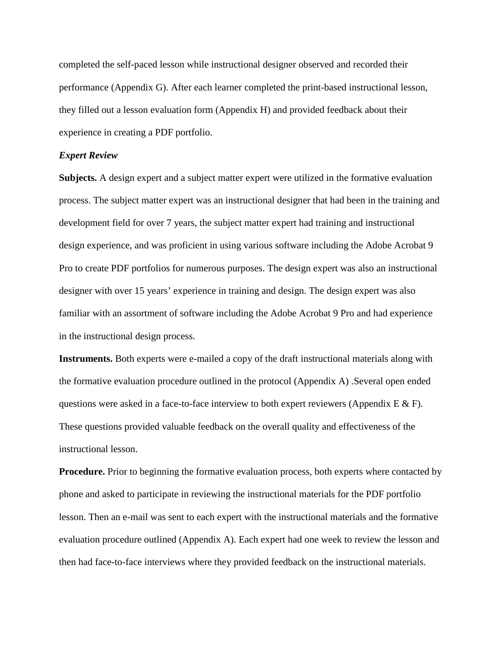completed the self-paced lesson while instructional designer observed and recorded their performance (Appendix G). After each learner completed the print-based instructional lesson, they filled out a lesson evaluation form (Appendix H) and provided feedback about their experience in creating a PDF portfolio.

### *Expert Review*

**Subjects.** A design expert and a subject matter expert were utilized in the formative evaluation process. The subject matter expert was an instructional designer that had been in the training and development field for over 7 years, the subject matter expert had training and instructional design experience, and was proficient in using various software including the Adobe Acrobat 9 Pro to create PDF portfolios for numerous purposes. The design expert was also an instructional designer with over 15 years' experience in training and design. The design expert was also familiar with an assortment of software including the Adobe Acrobat 9 Pro and had experience in the instructional design process.

**Instruments.** Both experts were e-mailed a copy of the draft instructional materials along with the formative evaluation procedure outlined in the protocol (Appendix A) .Several open ended questions were asked in a face-to-face interview to both expert reviewers (Appendix E & F). These questions provided valuable feedback on the overall quality and effectiveness of the instructional lesson.

**Procedure.** Prior to beginning the formative evaluation process, both experts where contacted by phone and asked to participate in reviewing the instructional materials for the PDF portfolio lesson. Then an e-mail was sent to each expert with the instructional materials and the formative evaluation procedure outlined (Appendix A). Each expert had one week to review the lesson and then had face-to-face interviews where they provided feedback on the instructional materials.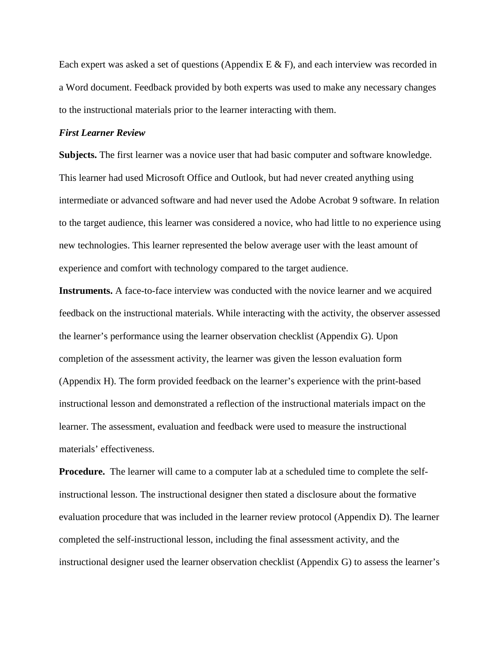Each expert was asked a set of questions (Appendix  $E \& F$ ), and each interview was recorded in a Word document. Feedback provided by both experts was used to make any necessary changes to the instructional materials prior to the learner interacting with them.

### *First Learner Review*

**Subjects.** The first learner was a novice user that had basic computer and software knowledge. This learner had used Microsoft Office and Outlook, but had never created anything using intermediate or advanced software and had never used the Adobe Acrobat 9 software. In relation to the target audience, this learner was considered a novice, who had little to no experience using new technologies. This learner represented the below average user with the least amount of experience and comfort with technology compared to the target audience.

**Instruments.** A face-to-face interview was conducted with the novice learner and we acquired feedback on the instructional materials. While interacting with the activity, the observer assessed the learner's performance using the learner observation checklist (Appendix G). Upon completion of the assessment activity, the learner was given the lesson evaluation form (Appendix H). The form provided feedback on the learner's experience with the print-based instructional lesson and demonstrated a reflection of the instructional materials impact on the learner. The assessment, evaluation and feedback were used to measure the instructional materials' effectiveness.

**Procedure.** The learner will came to a computer lab at a scheduled time to complete the selfinstructional lesson. The instructional designer then stated a disclosure about the formative evaluation procedure that was included in the learner review protocol (Appendix D). The learner completed the self-instructional lesson, including the final assessment activity, and the instructional designer used the learner observation checklist (Appendix G) to assess the learner's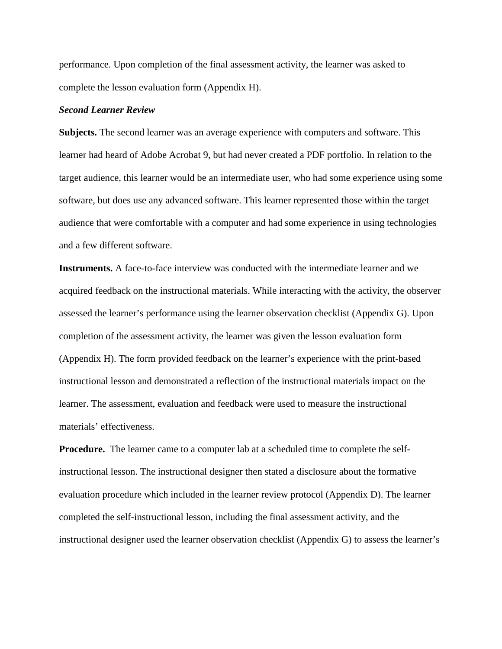performance. Upon completion of the final assessment activity, the learner was asked to complete the lesson evaluation form (Appendix H).

### *Second Learner Review*

**Subjects.** The second learner was an average experience with computers and software. This learner had heard of Adobe Acrobat 9, but had never created a PDF portfolio. In relation to the target audience, this learner would be an intermediate user, who had some experience using some software, but does use any advanced software. This learner represented those within the target audience that were comfortable with a computer and had some experience in using technologies and a few different software.

**Instruments.** A face-to-face interview was conducted with the intermediate learner and we acquired feedback on the instructional materials. While interacting with the activity, the observer assessed the learner's performance using the learner observation checklist (Appendix G). Upon completion of the assessment activity, the learner was given the lesson evaluation form (Appendix H). The form provided feedback on the learner's experience with the print-based instructional lesson and demonstrated a reflection of the instructional materials impact on the learner. The assessment, evaluation and feedback were used to measure the instructional materials' effectiveness.

**Procedure.** The learner came to a computer lab at a scheduled time to complete the selfinstructional lesson. The instructional designer then stated a disclosure about the formative evaluation procedure which included in the learner review protocol (Appendix D). The learner completed the self-instructional lesson, including the final assessment activity, and the instructional designer used the learner observation checklist (Appendix G) to assess the learner's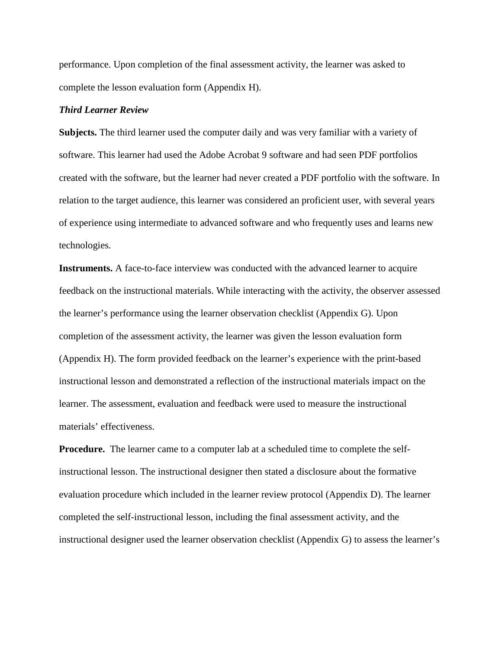performance. Upon completion of the final assessment activity, the learner was asked to complete the lesson evaluation form (Appendix H).

### *Third Learner Review*

**Subjects.** The third learner used the computer daily and was very familiar with a variety of software. This learner had used the Adobe Acrobat 9 software and had seen PDF portfolios created with the software, but the learner had never created a PDF portfolio with the software. In relation to the target audience, this learner was considered an proficient user, with several years of experience using intermediate to advanced software and who frequently uses and learns new technologies.

**Instruments.** A face-to-face interview was conducted with the advanced learner to acquire feedback on the instructional materials. While interacting with the activity, the observer assessed the learner's performance using the learner observation checklist (Appendix G). Upon completion of the assessment activity, the learner was given the lesson evaluation form (Appendix H). The form provided feedback on the learner's experience with the print-based instructional lesson and demonstrated a reflection of the instructional materials impact on the learner. The assessment, evaluation and feedback were used to measure the instructional materials' effectiveness.

**Procedure.** The learner came to a computer lab at a scheduled time to complete the selfinstructional lesson. The instructional designer then stated a disclosure about the formative evaluation procedure which included in the learner review protocol (Appendix D). The learner completed the self-instructional lesson, including the final assessment activity, and the instructional designer used the learner observation checklist (Appendix G) to assess the learner's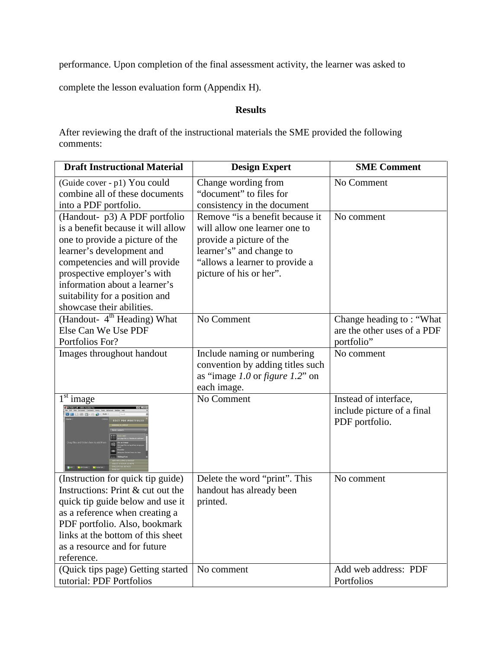performance. Upon completion of the final assessment activity, the learner was asked to

complete the lesson evaluation form (Appendix H).

## **Results**

After reviewing the draft of the instructional materials the SME provided the following comments:

| <b>Draft Instructional Material</b>                                                                                                                                                                                                                                                                 | <b>Design Expert</b>                                                                                                                                                                  |                                                                       |
|-----------------------------------------------------------------------------------------------------------------------------------------------------------------------------------------------------------------------------------------------------------------------------------------------------|---------------------------------------------------------------------------------------------------------------------------------------------------------------------------------------|-----------------------------------------------------------------------|
| (Guide cover - p1) You could<br>combine all of these documents<br>into a PDF portfolio.                                                                                                                                                                                                             | Change wording from<br>"document" to files for<br>consistency in the document                                                                                                         | No Comment                                                            |
| (Handout- p3) A PDF portfolio<br>is a benefit because it will allow<br>one to provide a picture of the<br>learner's development and<br>competencies and will provide<br>prospective employer's with<br>information about a learner's<br>suitability for a position and<br>showcase their abilities. | Remove "is a benefit because it<br>will allow one learner one to<br>provide a picture of the<br>learner's" and change to<br>"allows a learner to provide a<br>picture of his or her". | No comment                                                            |
| (Handout- 4 <sup>th</sup> Heading) What<br>Else Can We Use PDF<br>Portfolios For?                                                                                                                                                                                                                   | No Comment                                                                                                                                                                            | Change heading to: "What<br>are the other uses of a PDF<br>portfolio" |
| Images throughout handout                                                                                                                                                                                                                                                                           | Include naming or numbering<br>convention by adding titles such<br>as "image $1.0$ or figure $1.2$ " on<br>each image.                                                                | No comment                                                            |
| $1st$ image<br>EDIT PDF PORTFOLIC                                                                                                                                                                                                                                                                   | $\overline{\text{No}}$ Comment                                                                                                                                                        | Instead of interface,<br>include picture of a final<br>PDF portfolio. |
| (Instruction for quick tip guide)<br>Instructions: Print & cut out the<br>quick tip guide below and use it<br>as a reference when creating a<br>PDF portfolio. Also, bookmark<br>links at the bottom of this sheet<br>as a resource and for future<br>reference.                                    | Delete the word "print". This<br>handout has already been<br>printed.                                                                                                                 | No comment                                                            |
| (Quick tips page) Getting started<br>tutorial: PDF Portfolios                                                                                                                                                                                                                                       | No comment                                                                                                                                                                            | Add web address: PDF<br>Portfolios                                    |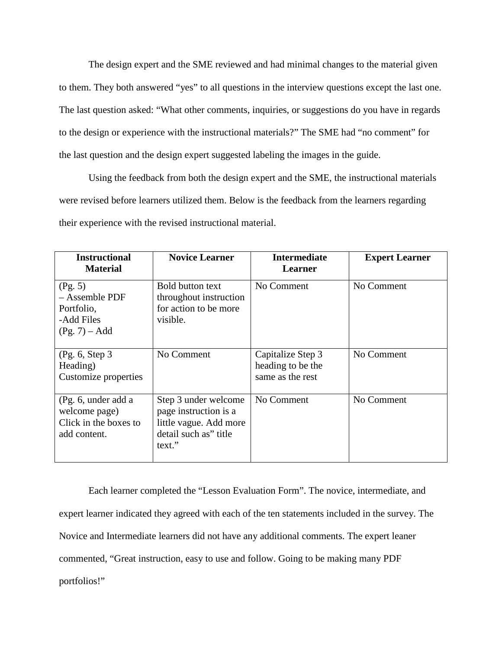The design expert and the SME reviewed and had minimal changes to the material given to them. They both answered "yes" to all questions in the interview questions except the last one. The last question asked: "What other comments, inquiries, or suggestions do you have in regards to the design or experience with the instructional materials?" The SME had "no comment" for the last question and the design expert suggested labeling the images in the guide.

Using the feedback from both the design expert and the SME, the instructional materials were revised before learners utilized them. Below is the feedback from the learners regarding their experience with the revised instructional material.

| <b>Instructional</b><br><b>Material</b>                                       | <b>Novice Learner</b>                                                                                      | <b>Intermediate</b><br>Learner                             | <b>Expert Learner</b> |
|-------------------------------------------------------------------------------|------------------------------------------------------------------------------------------------------------|------------------------------------------------------------|-----------------------|
| (Pg. 5)<br>- Assemble PDF<br>Portfolio,<br>-Add Files<br>$(Pg. 7) - Add$      | <b>Bold button text</b><br>throughout instruction<br>for action to be more<br>visible.                     | No Comment                                                 | No Comment            |
| (Pg. 6, Step 3)<br>Heading)<br>Customize properties                           | No Comment                                                                                                 | Capitalize Step 3<br>heading to be the<br>same as the rest | No Comment            |
| (Pg. 6, under add a<br>welcome page)<br>Click in the boxes to<br>add content. | Step 3 under welcome<br>page instruction is a<br>little vague. Add more<br>detail such as" title<br>text." | No Comment                                                 | No Comment            |

Each learner completed the "Lesson Evaluation Form". The novice, intermediate, and expert learner indicated they agreed with each of the ten statements included in the survey. The Novice and Intermediate learners did not have any additional comments. The expert leaner commented, "Great instruction, easy to use and follow. Going to be making many PDF portfolios!"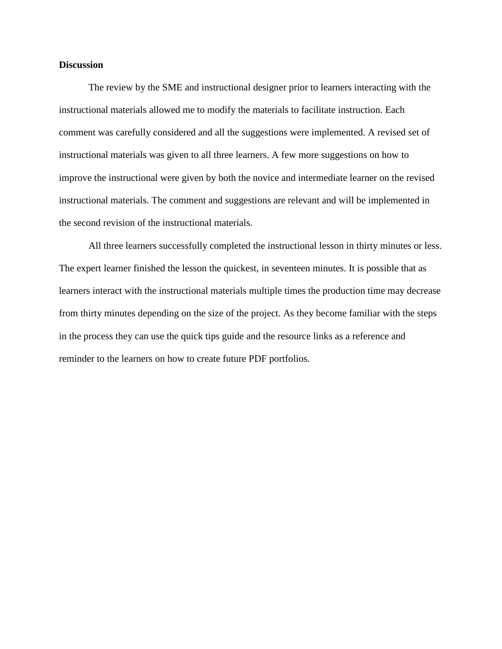### **Discussion**

The review by the SME and instructional designer prior to learners interacting with the instructional materials allowed me to modify the materials to facilitate instruction. Each comment was carefully considered and all the suggestions were implemented. A revised set of instructional materials was given to all three learners. A few more suggestions on how to improve the instructional were given by both the novice and intermediate learner on the revised instructional materials. The comment and suggestions are relevant and will be implemented in the second revision of the instructional materials.

All three learners successfully completed the instructional lesson in thirty minutes or less. The expert learner finished the lesson the quickest, in seventeen minutes. It is possible that as learners interact with the instructional materials multiple times the production time may decrease from thirty minutes depending on the size of the project. As they become familiar with the steps in the process they can use the quick tips guide and the resource links as a reference and reminder to the learners on how to create future PDF portfolios.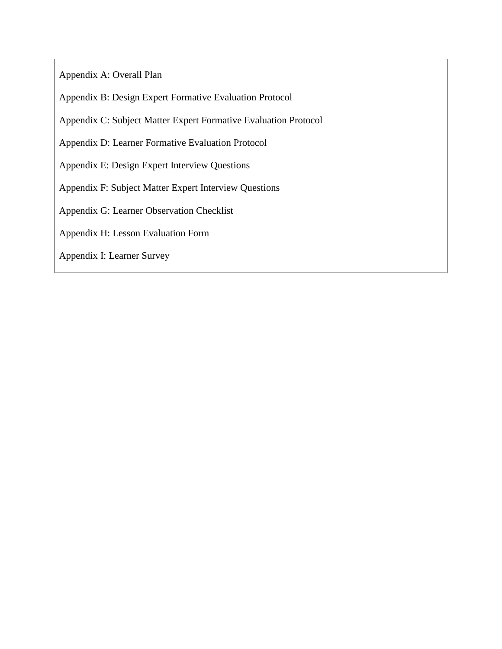Appendix A: Overall Plan

Appendix B: Design Expert Formative Evaluation Protocol

Appendix C: Subject Matter Expert Formative Evaluation Protocol

Appendix D: Learner Formative Evaluation Protocol

Appendix E: Design Expert Interview Questions

Appendix F: Subject Matter Expert Interview Questions

Appendix G: Learner Observation Checklist

Appendix H: Lesson Evaluation Form

Appendix I: Learner Survey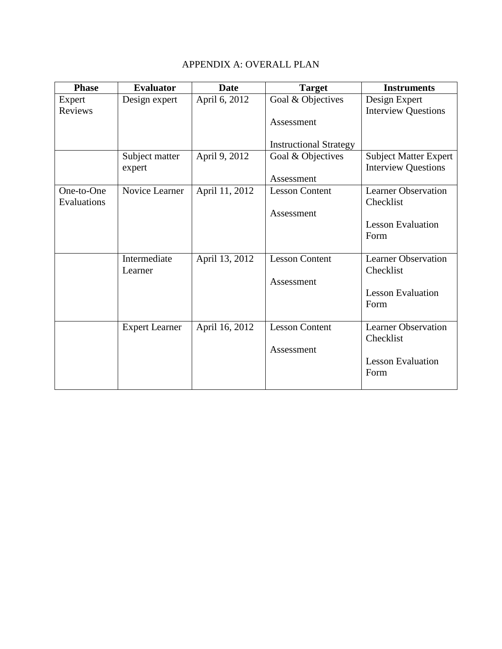# APPENDIX A: OVERALL PLAN

| <b>Phase</b> | <b>Evaluator</b>      | <b>Date</b>    | <b>Target</b>                 | <b>Instruments</b>           |
|--------------|-----------------------|----------------|-------------------------------|------------------------------|
| Expert       | Design expert         | April 6, 2012  | Goal & Objectives             | Design Expert                |
| Reviews      |                       |                |                               | <b>Interview Questions</b>   |
|              |                       |                | Assessment                    |                              |
|              |                       |                |                               |                              |
|              |                       |                | <b>Instructional Strategy</b> |                              |
|              | Subject matter        | April 9, 2012  | Goal & Objectives             | <b>Subject Matter Expert</b> |
|              | expert                |                |                               | <b>Interview Questions</b>   |
|              |                       |                | Assessment                    |                              |
| One-to-One   | Novice Learner        | April 11, 2012 | <b>Lesson Content</b>         | <b>Learner Observation</b>   |
| Evaluations  |                       |                |                               | Checklist                    |
|              |                       |                | Assessment                    |                              |
|              |                       |                |                               | <b>Lesson Evaluation</b>     |
|              |                       |                |                               | Form                         |
|              |                       |                |                               |                              |
|              | Intermediate          | April 13, 2012 | <b>Lesson Content</b>         | <b>Learner Observation</b>   |
|              | Learner               |                |                               | Checklist                    |
|              |                       |                | Assessment                    |                              |
|              |                       |                |                               | <b>Lesson Evaluation</b>     |
|              |                       |                |                               | Form                         |
|              |                       |                |                               |                              |
|              | <b>Expert Learner</b> | April 16, 2012 | <b>Lesson Content</b>         | <b>Learner Observation</b>   |
|              |                       |                |                               | Checklist                    |
|              |                       |                | Assessment                    |                              |
|              |                       |                |                               | <b>Lesson Evaluation</b>     |
|              |                       |                |                               | Form                         |
|              |                       |                |                               |                              |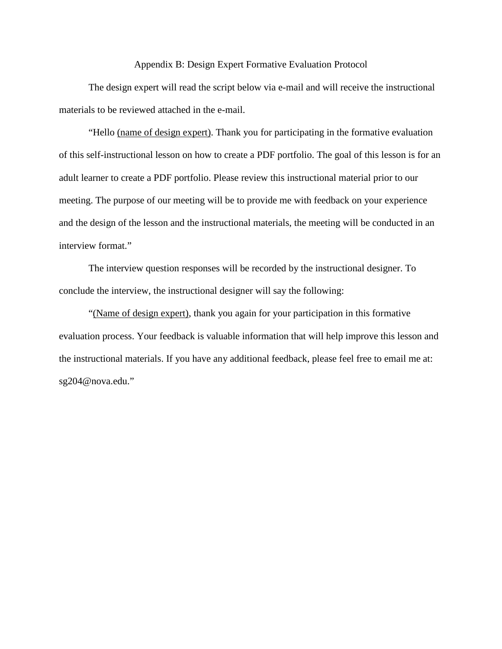#### Appendix B: Design Expert Formative Evaluation Protocol

The design expert will read the script below via e-mail and will receive the instructional materials to be reviewed attached in the e-mail.

"Hello (name of design expert). Thank you for participating in the formative evaluation of this self-instructional lesson on how to create a PDF portfolio. The goal of this lesson is for an adult learner to create a PDF portfolio. Please review this instructional material prior to our meeting. The purpose of our meeting will be to provide me with feedback on your experience and the design of the lesson and the instructional materials, the meeting will be conducted in an interview format."

The interview question responses will be recorded by the instructional designer. To conclude the interview, the instructional designer will say the following:

"(Name of design expert), thank you again for your participation in this formative evaluation process. Your feedback is valuable information that will help improve this lesson and the instructional materials. If you have any additional feedback, please feel free to email me at: sg204@nova.edu."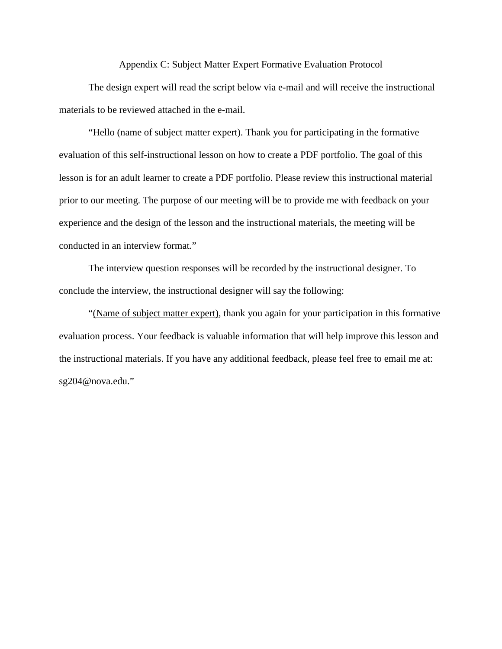#### Appendix C: Subject Matter Expert Formative Evaluation Protocol

The design expert will read the script below via e-mail and will receive the instructional materials to be reviewed attached in the e-mail.

"Hello (name of subject matter expert). Thank you for participating in the formative evaluation of this self-instructional lesson on how to create a PDF portfolio. The goal of this lesson is for an adult learner to create a PDF portfolio. Please review this instructional material prior to our meeting. The purpose of our meeting will be to provide me with feedback on your experience and the design of the lesson and the instructional materials, the meeting will be conducted in an interview format."

The interview question responses will be recorded by the instructional designer. To conclude the interview, the instructional designer will say the following:

"(Name of subject matter expert), thank you again for your participation in this formative evaluation process. Your feedback is valuable information that will help improve this lesson and the instructional materials. If you have any additional feedback, please feel free to email me at: sg204@nova.edu."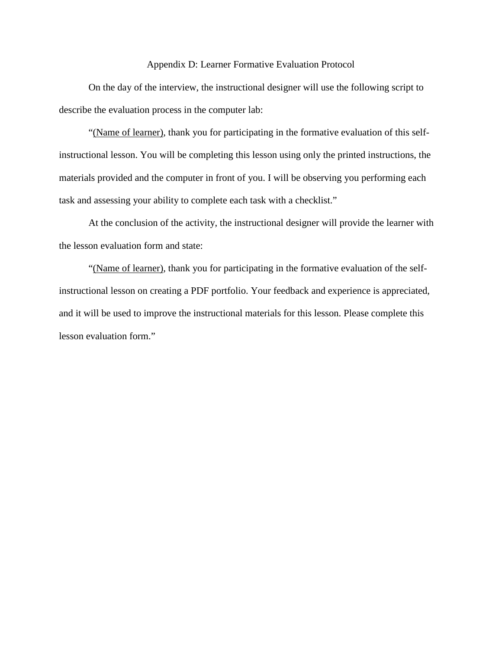#### Appendix D: Learner Formative Evaluation Protocol

On the day of the interview, the instructional designer will use the following script to describe the evaluation process in the computer lab:

"(Name of learner), thank you for participating in the formative evaluation of this selfinstructional lesson. You will be completing this lesson using only the printed instructions, the materials provided and the computer in front of you. I will be observing you performing each task and assessing your ability to complete each task with a checklist."

At the conclusion of the activity, the instructional designer will provide the learner with the lesson evaluation form and state:

"(Name of learner), thank you for participating in the formative evaluation of the selfinstructional lesson on creating a PDF portfolio. Your feedback and experience is appreciated, and it will be used to improve the instructional materials for this lesson. Please complete this lesson evaluation form."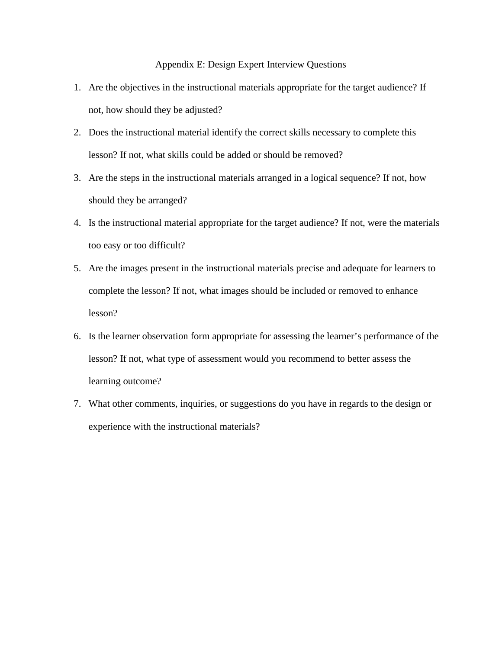Appendix E: Design Expert Interview Questions

- 1. Are the objectives in the instructional materials appropriate for the target audience? If not, how should they be adjusted?
- 2. Does the instructional material identify the correct skills necessary to complete this lesson? If not, what skills could be added or should be removed?
- 3. Are the steps in the instructional materials arranged in a logical sequence? If not, how should they be arranged?
- 4. Is the instructional material appropriate for the target audience? If not, were the materials too easy or too difficult?
- 5. Are the images present in the instructional materials precise and adequate for learners to complete the lesson? If not, what images should be included or removed to enhance lesson?
- 6. Is the learner observation form appropriate for assessing the learner's performance of the lesson? If not, what type of assessment would you recommend to better assess the learning outcome?
- 7. What other comments, inquiries, or suggestions do you have in regards to the design or experience with the instructional materials?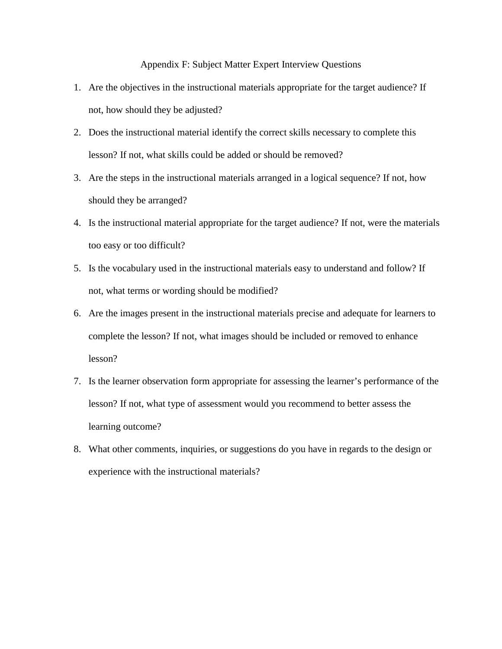Appendix F: Subject Matter Expert Interview Questions

- 1. Are the objectives in the instructional materials appropriate for the target audience? If not, how should they be adjusted?
- 2. Does the instructional material identify the correct skills necessary to complete this lesson? If not, what skills could be added or should be removed?
- 3. Are the steps in the instructional materials arranged in a logical sequence? If not, how should they be arranged?
- 4. Is the instructional material appropriate for the target audience? If not, were the materials too easy or too difficult?
- 5. Is the vocabulary used in the instructional materials easy to understand and follow? If not, what terms or wording should be modified?
- 6. Are the images present in the instructional materials precise and adequate for learners to complete the lesson? If not, what images should be included or removed to enhance lesson?
- 7. Is the learner observation form appropriate for assessing the learner's performance of the lesson? If not, what type of assessment would you recommend to better assess the learning outcome?
- 8. What other comments, inquiries, or suggestions do you have in regards to the design or experience with the instructional materials?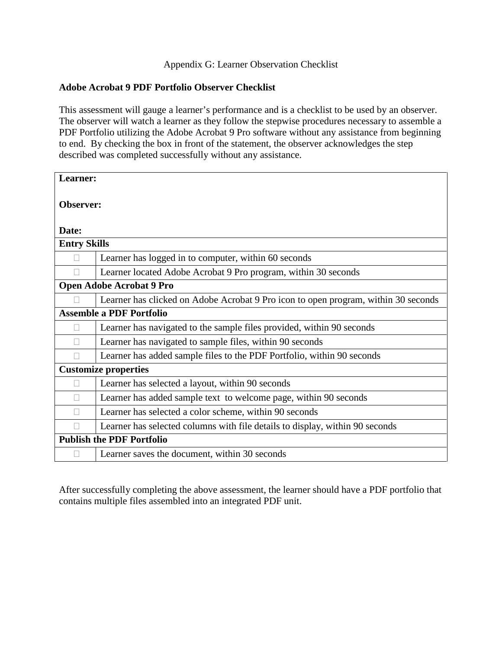## Appendix G: Learner Observation Checklist

## **Adobe Acrobat 9 PDF Portfolio Observer Checklist**

This assessment will gauge a learner's performance and is a checklist to be used by an observer. The observer will watch a learner as they follow the stepwise procedures necessary to assemble a PDF Portfolio utilizing the Adobe Acrobat 9 Pro software without any assistance from beginning to end. By checking the box in front of the statement, the observer acknowledges the step described was completed successfully without any assistance.

| Learner:                         |                                                                                    |  |
|----------------------------------|------------------------------------------------------------------------------------|--|
| Observer:                        |                                                                                    |  |
| Date:                            |                                                                                    |  |
| <b>Entry Skills</b>              |                                                                                    |  |
| П                                | Learner has logged in to computer, within 60 seconds                               |  |
|                                  | Learner located Adobe Acrobat 9 Pro program, within 30 seconds                     |  |
| <b>Open Adobe Acrobat 9 Pro</b>  |                                                                                    |  |
|                                  | Learner has clicked on Adobe Acrobat 9 Pro icon to open program, within 30 seconds |  |
| <b>Assemble a PDF Portfolio</b>  |                                                                                    |  |
|                                  | Learner has navigated to the sample files provided, within 90 seconds              |  |
|                                  | Learner has navigated to sample files, within 90 seconds                           |  |
|                                  | Learner has added sample files to the PDF Portfolio, within 90 seconds             |  |
| <b>Customize properties</b>      |                                                                                    |  |
| П                                | Learner has selected a layout, within 90 seconds                                   |  |
|                                  | Learner has added sample text to welcome page, within 90 seconds                   |  |
|                                  | Learner has selected a color scheme, within 90 seconds                             |  |
|                                  | Learner has selected columns with file details to display, within 90 seconds       |  |
| <b>Publish the PDF Portfolio</b> |                                                                                    |  |
|                                  | Learner saves the document, within 30 seconds                                      |  |

After successfully completing the above assessment, the learner should have a PDF portfolio that contains multiple files assembled into an integrated PDF unit.